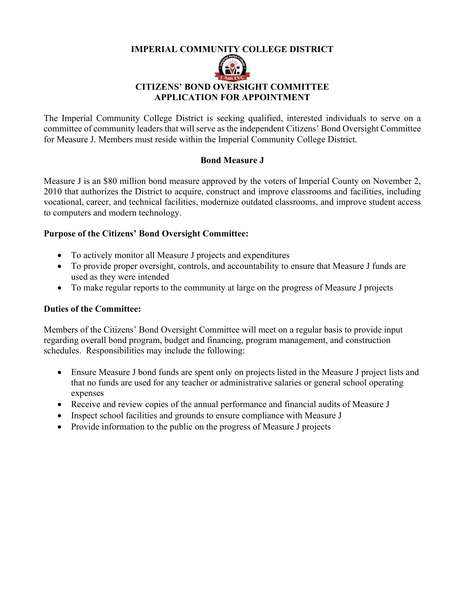## **IMPERIAL COMMUNITY COLLEGE DISTRICT**



## **CITIZENS' BOND OVERSIGHT COMMITTEE APPLICATION FOR APPOINTMENT**

The Imperial Community College District is seeking qualified, interested individuals to serve on a committee of community leaders that will serve as the independent Citizens' Bond Oversight Committee for Measure J. Members must reside within the Imperial Community College District.

## **Bond Measure J**

Measure J is an \$80 million bond measure approved by the voters of Imperial County on November 2, 2010 that authorizes the District to acquire, construct and improve classrooms and facilities, including vocational, career, and technical facilities, modernize outdated classrooms, and improve student access to computers and modern technology.

# **Purpose of the Citizens' Bond Oversight Committee:**

- To actively monitor all Measure J projects and expenditures
- To provide proper oversight, controls, and accountability to ensure that Measure J funds are used as they were intended
- To make regular reports to the community at large on the progress of Measure J projects

## **Duties of the Committee:**

Members of the Citizens' Bond Oversight Committee will meet on a regular basis to provide input regarding overall bond program, budget and financing, program management, and construction schedules. Responsibilities may include the following:

- Ensure Measure J bond funds are spent only on projects listed in the Measure J project lists and that no funds are used for any teacher or administrative salaries or general school operating expenses
- Receive and review copies of the annual performance and financial audits of Measure J
- Inspect school facilities and grounds to ensure compliance with Measure J
- Provide information to the public on the progress of Measure J projects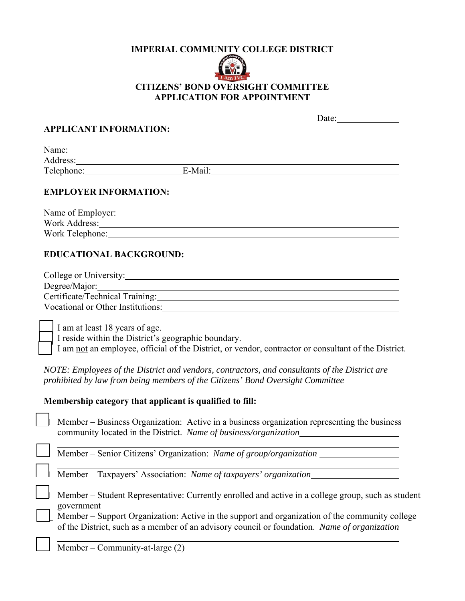#### **IMPERIAL COMMUNITY COLLEGE DISTRICT**



# **CITIZENS' BOND OVERSIGHT COMMITTEE APPLICATION FOR APPOINTMENT**

|                                |                                                                                                                                                                                                                                | Date: $\qquad \qquad \qquad$ |
|--------------------------------|--------------------------------------------------------------------------------------------------------------------------------------------------------------------------------------------------------------------------------|------------------------------|
| <b>APPLICANT INFORMATION:</b>  |                                                                                                                                                                                                                                |                              |
|                                |                                                                                                                                                                                                                                |                              |
|                                |                                                                                                                                                                                                                                |                              |
|                                | Telephone: E-Mail: E-Mail:                                                                                                                                                                                                     |                              |
| <b>EMPLOYER INFORMATION:</b>   |                                                                                                                                                                                                                                |                              |
|                                |                                                                                                                                                                                                                                |                              |
|                                |                                                                                                                                                                                                                                |                              |
|                                | Work Telephone: North Contract Contract Contract Contract Contract Contract Contract Contract Contract Contract Contract Contract Contract Contract Contract Contract Contract Contract Contract Contract Contract Contract Co |                              |
| <b>EDUCATIONAL BACKGROUND:</b> |                                                                                                                                                                                                                                |                              |
|                                | College or University:                                                                                                                                                                                                         |                              |
|                                |                                                                                                                                                                                                                                |                              |
|                                | Certificate/Technical Training: Maria Contractor Certificate/Technical Training:                                                                                                                                               |                              |
|                                |                                                                                                                                                                                                                                |                              |
|                                |                                                                                                                                                                                                                                |                              |

I am at least 18 years of age.

 $\overline{a}$ 

I reside within the District's geographic boundary.

I am not an employee, official of the District, or vendor, contractor or consultant of the District.

*NOTE: Employees of the District and vendors, contractors, and consultants of the District are prohibited by law from being members of the Citizens' Bond Oversight Committee* 

#### **Membership category that applicant is qualified to fill:**

 Member – Business Organization: Active in a business organization representing the business community located in the District. *Name of business/organization* 

Member – Senior Citizens' Organization: *Name of group/organization* 

Member – Taxpayers' Association: *Name of taxpayers' organization* 

 Member – Student Representative: Currently enrolled and active in a college group, such as student government

Member – Support Organization: Active in the support and organization of the community college of the District, such as a member of an advisory council or foundation. *Name of organization* 

Member – Community-at-large (2)